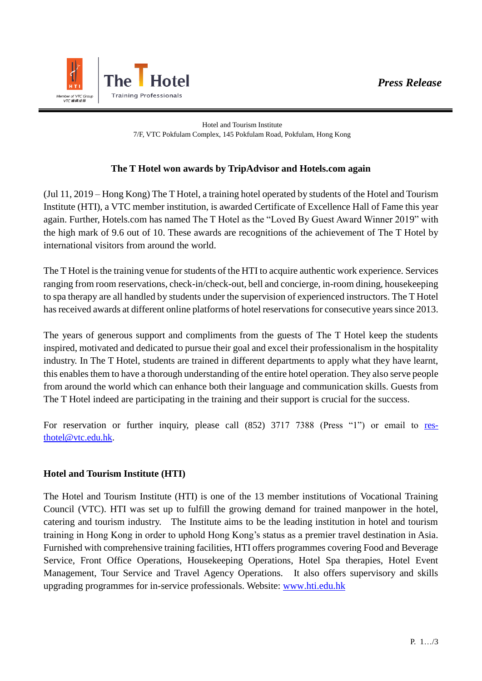

Hotel and Tourism Institute 7/F, VTC Pokfulam Complex, 145 Pokfulam Road, Pokfulam, Hong Kong

## **The T Hotel won awards by TripAdvisor and Hotels.com again**

(Jul 11, 2019 – Hong Kong) The T Hotel, a training hotel operated by students of the Hotel and Tourism Institute (HTI), a VTC member institution, is awarded Certificate of Excellence Hall of Fame this year again. Further, Hotels.com has named The T Hotel as the "Loved By Guest Award Winner 2019" with the high mark of 9.6 out of 10. These awards are recognitions of the achievement of The T Hotel by international visitors from around the world.

The T Hotel is the training venue for students of the HTI to acquire authentic work experience. Services ranging from room reservations, check-in/check-out, bell and concierge, in-room dining, housekeeping to spa therapy are all handled by students under the supervision of experienced instructors. The T Hotel has received awards at different online platforms of hotel reservations for consecutive years since 2013.

The years of generous support and compliments from the guests of The T Hotel keep the students inspired, motivated and dedicated to pursue their goal and excel their professionalism in the hospitality industry. In The T Hotel, students are trained in different departments to apply what they have learnt, this enables them to have a thorough understanding of the entire hotel operation. They also serve people from around the world which can enhance both their language and communication skills. Guests from The T Hotel indeed are participating in the training and their support is crucial for the success.

For reservation or further inquiry, please call (852) 3717 7388 (Press "1") or email to [res](mailto:res-thotel@vtc.edu.hk)[thotel@vtc.edu.hk.](mailto:res-thotel@vtc.edu.hk)

## **Hotel and Tourism Institute (HTI)**

The Hotel and Tourism Institute (HTI) is one of the 13 member institutions of Vocational Training Council (VTC). HTI was set up to fulfill the growing demand for trained manpower in the hotel, catering and tourism industry. The Institute aims to be the leading institution in hotel and tourism training in Hong Kong in order to uphold Hong Kong's status as a premier travel destination in Asia. Furnished with comprehensive training facilities, HTI offers programmes covering Food and Beverage Service, Front Office Operations, Housekeeping Operations, Hotel Spa therapies, Hotel Event Management, Tour Service and Travel Agency Operations. It also offers supervisory and skills upgrading programmes for in-service professionals. Website: [www.hti.edu.hk](http://www.hti.edu.hk/)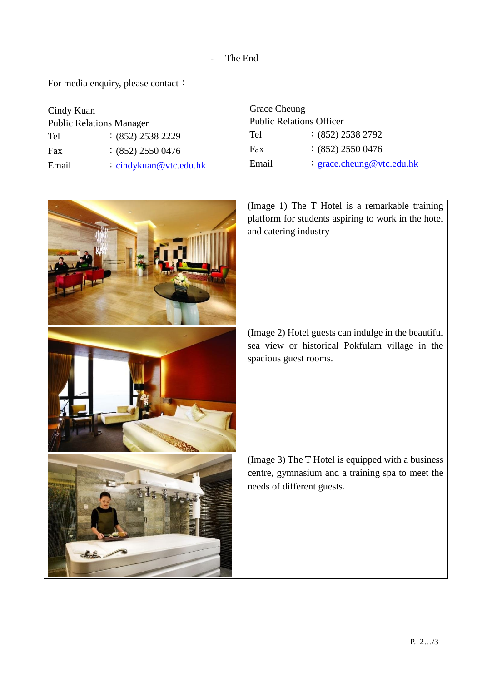- The End -

For media enquiry, please contact:

| Cindy Kuan                      |                          | Grace Cheung                    |                           |
|---------------------------------|--------------------------|---------------------------------|---------------------------|
| <b>Public Relations Manager</b> |                          | <b>Public Relations Officer</b> |                           |
| Tel                             | $:(852)$ 2538 2229       | Tel                             | $:(852)$ 2538 2792        |
| Fax                             | $:(852)$ 2550 0476       | Fax                             | $(852)$ 2550 0476         |
| Email                           | $:$ cindykuan@vtc.edu.hk | Email                           | : grace.cheung@vtc.edu.hk |

| (Image 1) The T Hotel is a remarkable training<br>platform for students aspiring to work in the hotel<br>and catering industry      |
|-------------------------------------------------------------------------------------------------------------------------------------|
| (Image 2) Hotel guests can indulge in the beautiful<br>sea view or historical Pokfulam village in the<br>spacious guest rooms.      |
| (Image 3) The T Hotel is equipped with a business<br>centre, gymnasium and a training spa to meet the<br>needs of different guests. |